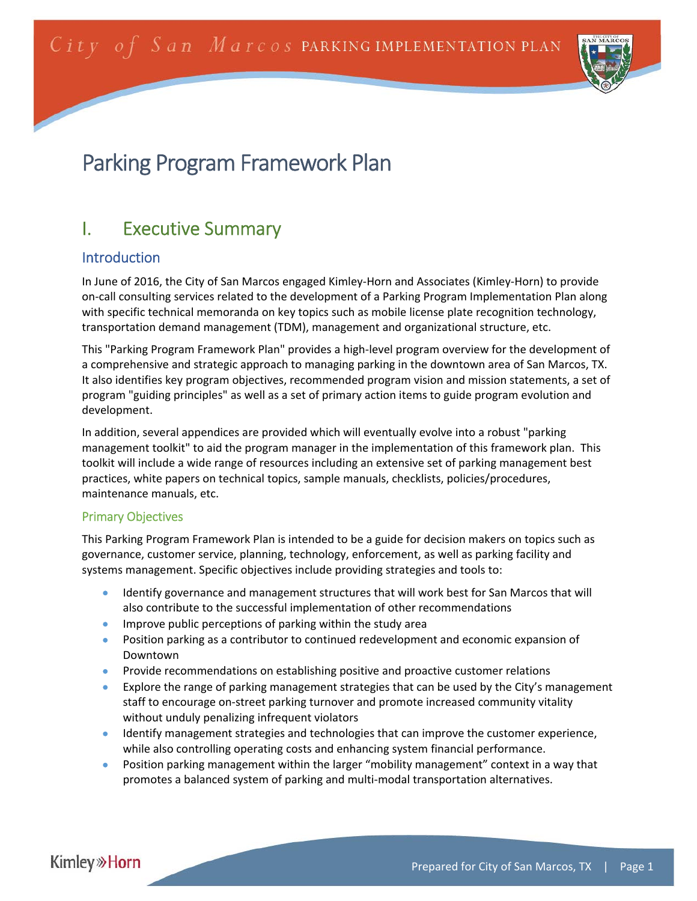

# Parking Program Framework Plan

## I. Executive Summary

## Introduction

In June of 2016, the City of San Marcos engaged Kimley‐Horn and Associates (Kimley‐Horn) to provide on‐call consulting services related to the development of a Parking Program Implementation Plan along with specific technical memoranda on key topics such as mobile license plate recognition technology, transportation demand management (TDM), management and organizational structure, etc.

This "Parking Program Framework Plan" provides a high‐level program overview for the development of a comprehensive and strategic approach to managing parking in the downtown area of San Marcos, TX. It also identifies key program objectives, recommended program vision and mission statements, a set of program "guiding principles" as well as a set of primary action items to guide program evolution and development.

In addition, several appendices are provided which will eventually evolve into a robust "parking management toolkit" to aid the program manager in the implementation of this framework plan. This toolkit will include a wide range of resources including an extensive set of parking management best practices, white papers on technical topics, sample manuals, checklists, policies/procedures, maintenance manuals, etc.

#### Primary Objectives

This Parking Program Framework Plan is intended to be a guide for decision makers on topics such as governance, customer service, planning, technology, enforcement, as well as parking facility and systems management. Specific objectives include providing strategies and tools to:

- **IDENTIFY ADDET ADDET ADDET A** Identify governance and management structures that will allerties that will also contribute to the successful implementation of other recommendations
- **IMPROVE PUBLIC PERCEPTIONS OF PARKING WITH THE STARK OF STARKING AREA**
- Position parking as a contributor to continued redevelopment and economic expansion of Downtown
- **•** Provide recommendations on establishing positive and proactive customer relations
- **Explore the range of parking management strategies that can be used by the City's management** staff to encourage on‐street parking turnover and promote increased community vitality without unduly penalizing infrequent violators
- **IDENTIFY** management strategies and technologies that can improve the customer experience, while also controlling operating costs and enhancing system financial performance.
- Position parking management within the larger "mobility management" context in a way that promotes a balanced system of parking and multi‐modal transportation alternatives.

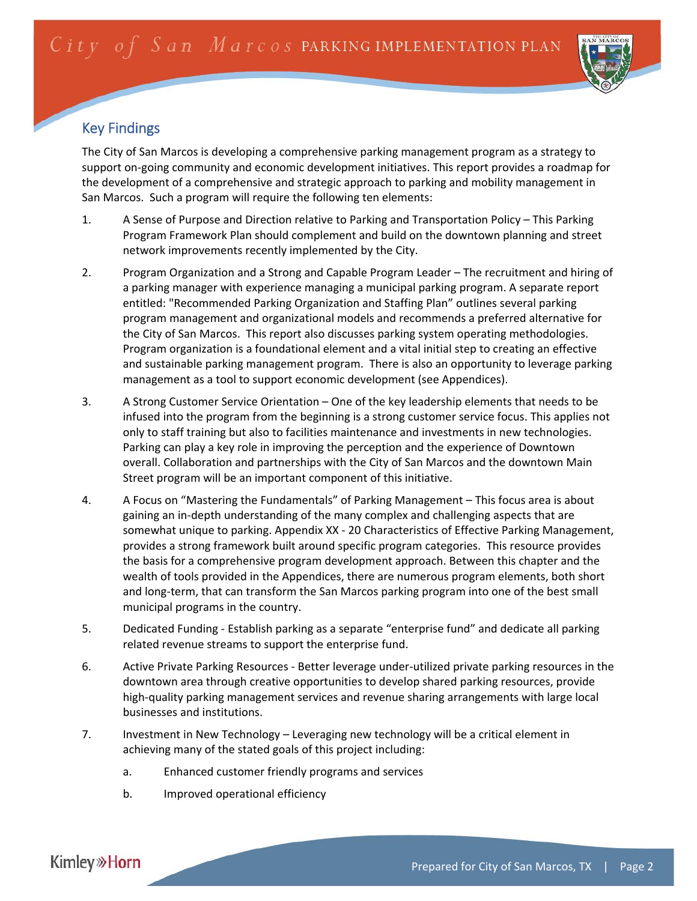

## Key Findings

The City of San Marcos is developing a comprehensive parking management program as a strategy to support on‐going community and economic development initiatives. This report provides a roadmap for the development of a comprehensive and strategic approach to parking and mobility management in San Marcos. Such a program will require the following ten elements:

- 1. A Sense of Purpose and Direction relative to Parking and Transportation Policy This Parking Program Framework Plan should complement and build on the downtown planning and street network improvements recently implemented by the City.
- 2. Program Organization and a Strong and Capable Program Leader The recruitment and hiring of a parking manager with experience managing a municipal parking program. A separate report entitled: "Recommended Parking Organization and Staffing Plan" outlines several parking program management and organizational models and recommends a preferred alternative for the City of San Marcos. This report also discusses parking system operating methodologies. Program organization is a foundational element and a vital initial step to creating an effective and sustainable parking management program. There is also an opportunity to leverage parking management as a tool to support economic development (see Appendices).
- 3. A Strong Customer Service Orientation One of the key leadership elements that needs to be infused into the program from the beginning is a strong customer service focus. This applies not only to staff training but also to facilities maintenance and investments in new technologies. Parking can play a key role in improving the perception and the experience of Downtown overall. Collaboration and partnerships with the City of San Marcos and the downtown Main Street program will be an important component of this initiative.
- 4. A Focus on "Mastering the Fundamentals" of Parking Management This focus area is about gaining an in‐depth understanding of the many complex and challenging aspects that are somewhat unique to parking. Appendix XX - 20 Characteristics of Effective Parking Management, provides a strong framework built around specific program categories. This resource provides the basis for a comprehensive program development approach. Between this chapter and the wealth of tools provided in the Appendices, there are numerous program elements, both short and long‐term, that can transform the San Marcos parking program into one of the best small municipal programs in the country.
- 5. Dedicated Funding Establish parking as a separate "enterprise fund" and dedicate all parking related revenue streams to support the enterprise fund.
- 6. Active Private Parking Resources ‐ Better leverage under‐utilized private parking resources in the downtown area through creative opportunities to develop shared parking resources, provide high-quality parking management services and revenue sharing arrangements with large local businesses and institutions.
- 7. Investment in New Technology Leveraging new technology will be a critical element in achieving many of the stated goals of this project including:
	- a. Enhanced customer friendly programs and services
	- b. Improved operational efficiency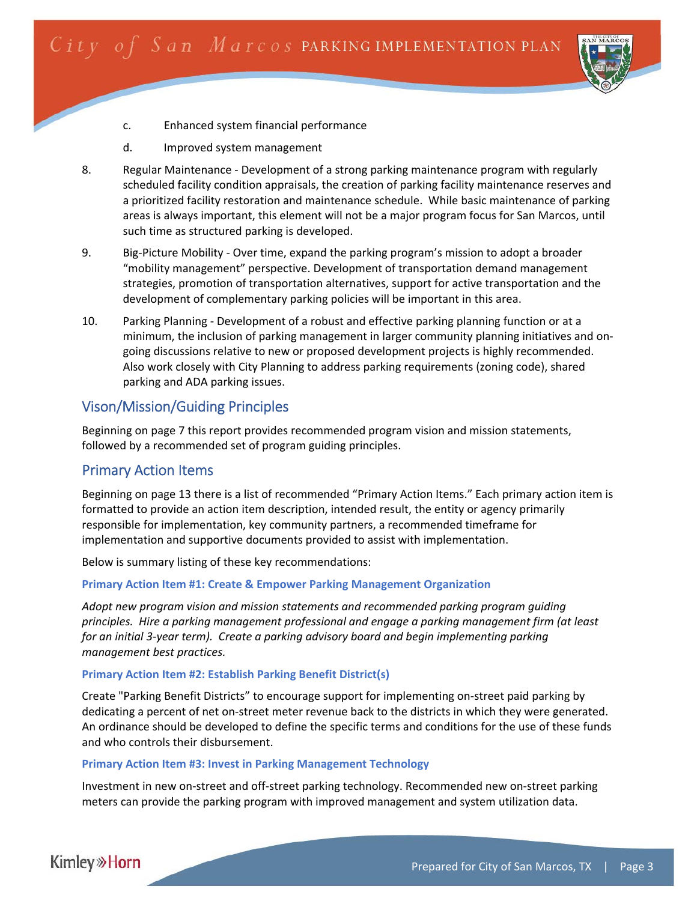

- c. Enhanced system financial performance
- d. Improved system management
- 8. Regular Maintenance ‐ Development of a strong parking maintenance program with regularly scheduled facility condition appraisals, the creation of parking facility maintenance reserves and a prioritized facility restoration and maintenance schedule. While basic maintenance of parking areas is always important, this element will not be a major program focus for San Marcos, until such time as structured parking is developed.
- 9. Big-Picture Mobility Over time, expand the parking program's mission to adopt a broader "mobility management" perspective. Development of transportation demand management strategies, promotion of transportation alternatives, support for active transportation and the development of complementary parking policies will be important in this area.
- 10. Parking Planning Development of a robust and effective parking planning function or at a minimum, the inclusion of parking management in larger community planning initiatives and on‐ going discussions relative to new or proposed development projects is highly recommended. Also work closely with City Planning to address parking requirements (zoning code), shared parking and ADA parking issues.

## Vison/Mission/Guiding Principles

Beginning on page 7 this report provides recommended program vision and mission statements, followed by a recommended set of program guiding principles.

#### Primary Action Items

Beginning on page 13 there is a list of recommended "Primary Action Items." Each primary action item is formatted to provide an action item description, intended result, the entity or agency primarily responsible for implementation, key community partners, a recommended timeframe for implementation and supportive documents provided to assist with implementation.

Below is summary listing of these key recommendations:

#### **Primary Action Item #1: Create & Empower Parking Management Organization**

*Adopt new program vision and mission statements and recommended parking program guiding principles. Hire a parking management professional and engage a parking management firm (at least for an initial 3‐year term). Create a parking advisory board and begin implementing parking management best practices.*

#### **Primary Action Item #2: Establish Parking Benefit District(s)**

Create "Parking Benefit Districts" to encourage support for implementing on‐street paid parking by dedicating a percent of net on‐street meter revenue back to the districts in which they were generated. An ordinance should be developed to define the specific terms and conditions for the use of these funds and who controls their disbursement.

#### **Primary Action Item #3: Invest in Parking Management Technology**

Investment in new on‐street and off‐street parking technology. Recommended new on‐street parking meters can provide the parking program with improved management and system utilization data.

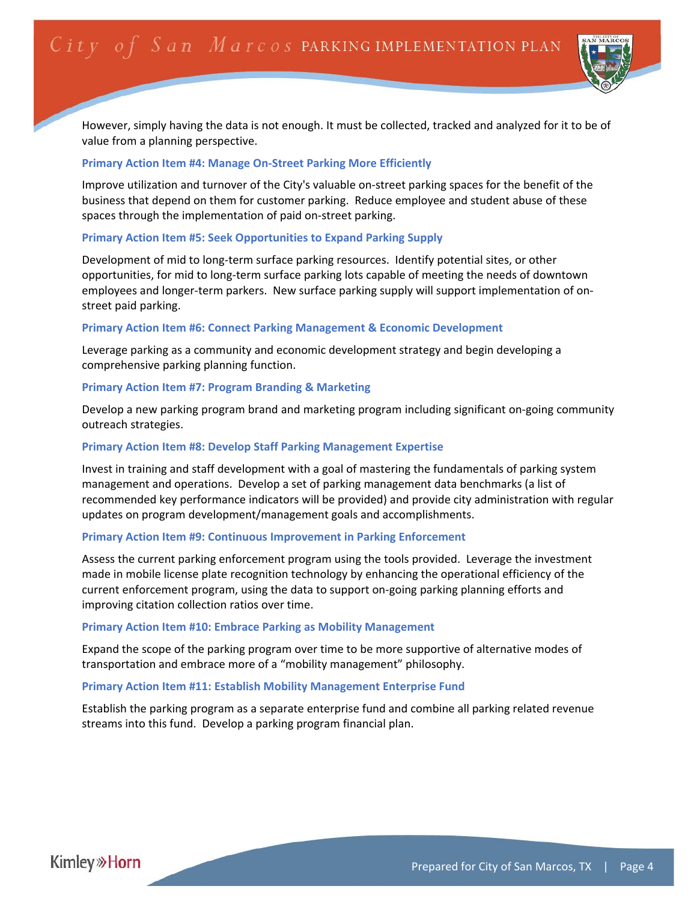

However, simply having the data is not enough. It must be collected, tracked and analyzed for it to be of value from a planning perspective.

#### **Primary Action Item #4: Manage On‐Street Parking More Efficiently**

Improve utilization and turnover of the City's valuable on‐street parking spaces for the benefit of the business that depend on them for customer parking. Reduce employee and student abuse of these spaces through the implementation of paid on‐street parking.

#### **Primary Action Item #5: Seek Opportunities to Expand Parking Supply**

Development of mid to long-term surface parking resources. Identify potential sites, or other opportunities, for mid to long‐term surface parking lots capable of meeting the needs of downtown employees and longer-term parkers. New surface parking supply will support implementation of onstreet paid parking.

#### **Primary Action Item #6: Connect Parking Management & Economic Development**

Leverage parking as a community and economic development strategy and begin developing a comprehensive parking planning function.

#### **Primary Action Item #7: Program Branding & Marketing**

Develop a new parking program brand and marketing program including significant on‐going community outreach strategies.

#### **Primary Action Item #8: Develop Staff Parking Management Expertise**

Invest in training and staff development with a goal of mastering the fundamentals of parking system management and operations. Develop a set of parking management data benchmarks (a list of recommended key performance indicators will be provided) and provide city administration with regular updates on program development/management goals and accomplishments.

#### **Primary Action Item #9: Continuous Improvement in Parking Enforcement**

Assess the current parking enforcement program using the tools provided. Leverage the investment made in mobile license plate recognition technology by enhancing the operational efficiency of the current enforcement program, using the data to support on‐going parking planning efforts and improving citation collection ratios over time.

#### **Primary Action Item #10: Embrace Parking as Mobility Management**

Expand the scope of the parking program over time to be more supportive of alternative modes of transportation and embrace more of a "mobility management" philosophy.

#### **Primary Action Item #11: Establish Mobility Management Enterprise Fund**

Establish the parking program as a separate enterprise fund and combine all parking related revenue streams into this fund. Develop a parking program financial plan.

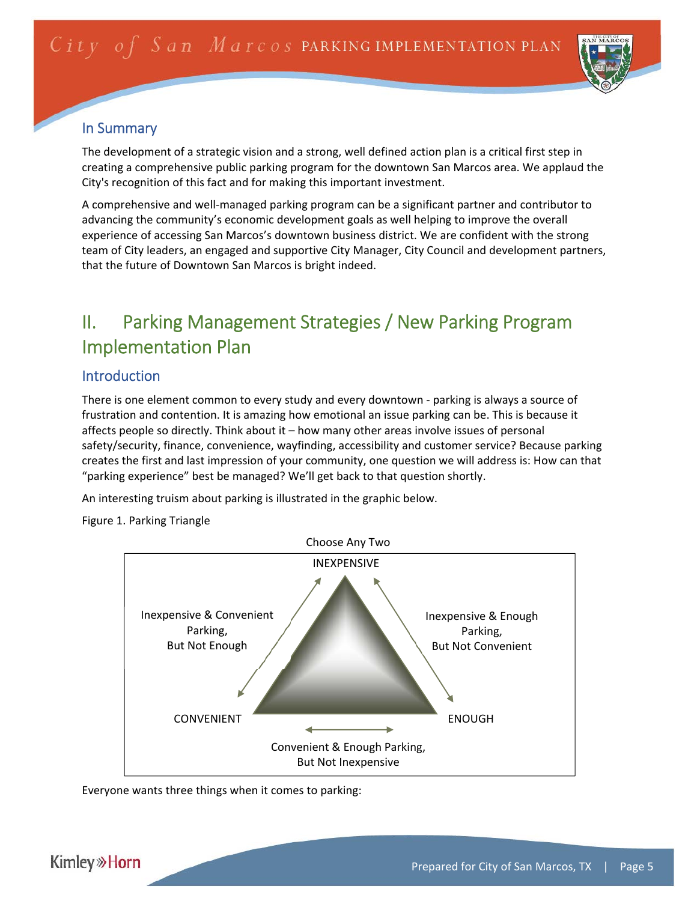

## In Summary

The development of a strategic vision and a strong, well defined action plan is a critical first step in creating a comprehensive public parking program for the downtown San Marcos area. We applaud the City's recognition of this fact and for making this important investment.

A comprehensive and well‐managed parking program can be a significant partner and contributor to advancing the community's economic development goals as well helping to improve the overall experience of accessing San Marcos's downtown business district. We are confident with the strong team of City leaders, an engaged and supportive City Manager, City Council and development partners, that the future of Downtown San Marcos is bright indeed.

## II. Parking Management Strategies / New Parking Program Implementation Plan

## Introduction

There is one element common to every study and every downtown - parking is always a source of frustration and contention. It is amazing how emotional an issue parking can be. This is because it affects people so directly. Think about it – how many other areas involve issues of personal safety/security, finance, convenience, wayfinding, accessibility and customer service? Because parking creates the first and last impression of your community, one question we will address is: How can that "parking experience" best be managed? We'll get back to that question shortly.

An interesting truism about parking is illustrated in the graphic below.

Figure 1. Parking Triangle



Everyone wants three things when it comes to parking: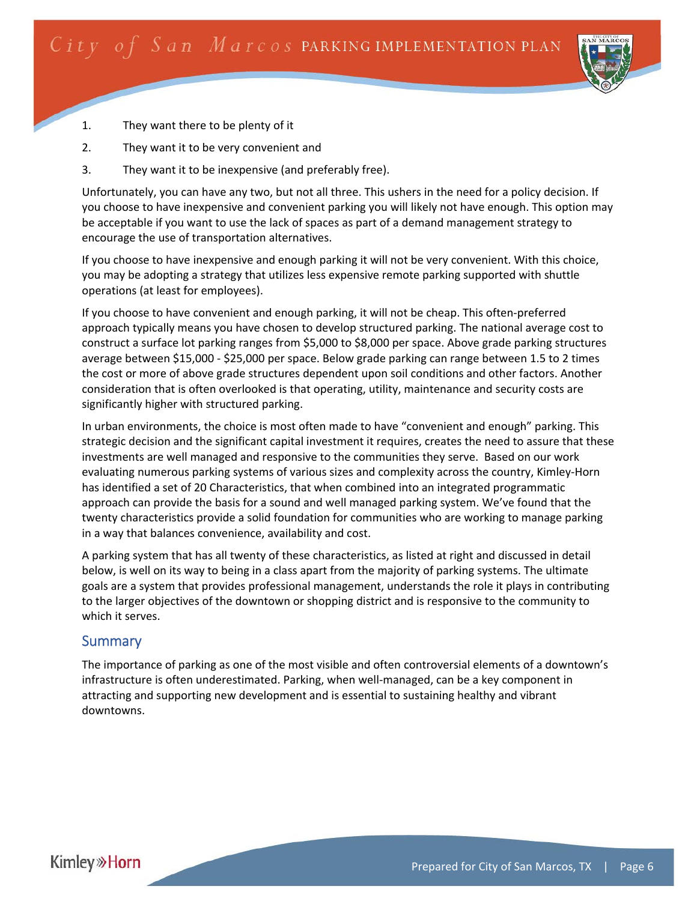

- 1. They want there to be plenty of it
- 2. They want it to be very convenient and
- 3. They want it to be inexpensive (and preferably free).

Unfortunately, you can have any two, but not all three. This ushers in the need for a policy decision. If you choose to have inexpensive and convenient parking you will likely not have enough. This option may be acceptable if you want to use the lack of spaces as part of a demand management strategy to encourage the use of transportation alternatives.

If you choose to have inexpensive and enough parking it will not be very convenient. With this choice, you may be adopting a strategy that utilizes less expensive remote parking supported with shuttle operations (at least for employees).

If you choose to have convenient and enough parking, it will not be cheap. This often‐preferred approach typically means you have chosen to develop structured parking. The national average cost to construct a surface lot parking ranges from \$5,000 to \$8,000 per space. Above grade parking structures average between \$15,000 ‐ \$25,000 per space. Below grade parking can range between 1.5 to 2 times the cost or more of above grade structures dependent upon soil conditions and other factors. Another consideration that is often overlooked is that operating, utility, maintenance and security costs are significantly higher with structured parking.

In urban environments, the choice is most often made to have "convenient and enough" parking. This strategic decision and the significant capital investment it requires, creates the need to assure that these investments are well managed and responsive to the communities they serve. Based on our work evaluating numerous parking systems of various sizes and complexity across the country, Kimley‐Horn has identified a set of 20 Characteristics, that when combined into an integrated programmatic approach can provide the basis for a sound and well managed parking system. We've found that the twenty characteristics provide a solid foundation for communities who are working to manage parking in a way that balances convenience, availability and cost.

A parking system that has all twenty of these characteristics, as listed at right and discussed in detail below, is well on its way to being in a class apart from the majority of parking systems. The ultimate goals are a system that provides professional management, understands the role it plays in contributing to the larger objectives of the downtown or shopping district and is responsive to the community to which it serves.

## **Summary**

The importance of parking as one of the most visible and often controversial elements of a downtown's infrastructure is often underestimated. Parking, when well‐managed, can be a key component in attracting and supporting new development and is essential to sustaining healthy and vibrant downtowns.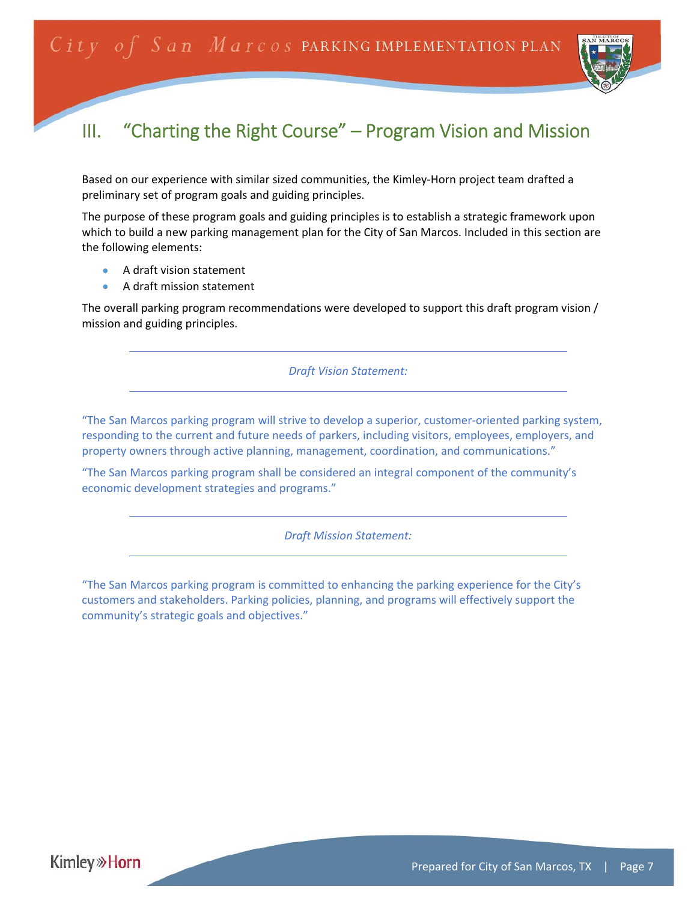

## III. "Charting the Right Course" – Program Vision and Mission

Based on our experience with similar sized communities, the Kimley‐Horn project team drafted a preliminary set of program goals and guiding principles.

The purpose of these program goals and guiding principles is to establish a strategic framework upon which to build a new parking management plan for the City of San Marcos. Included in this section are the following elements:

- A draft vision statement
- A draft mission statement

The overall parking program recommendations were developed to support this draft program vision / mission and guiding principles.

*Draft Vision Statement:* 

"The San Marcos parking program will strive to develop a superior, customer‐oriented parking system, responding to the current and future needs of parkers, including visitors, employees, employers, and property owners through active planning, management, coordination, and communications."

"The San Marcos parking program shall be considered an integral component of the community's economic development strategies and programs."

*Draft Mission Statement:* 

"The San Marcos parking program is committed to enhancing the parking experience for the City's customers and stakeholders. Parking policies, planning, and programs will effectively support the community's strategic goals and objectives."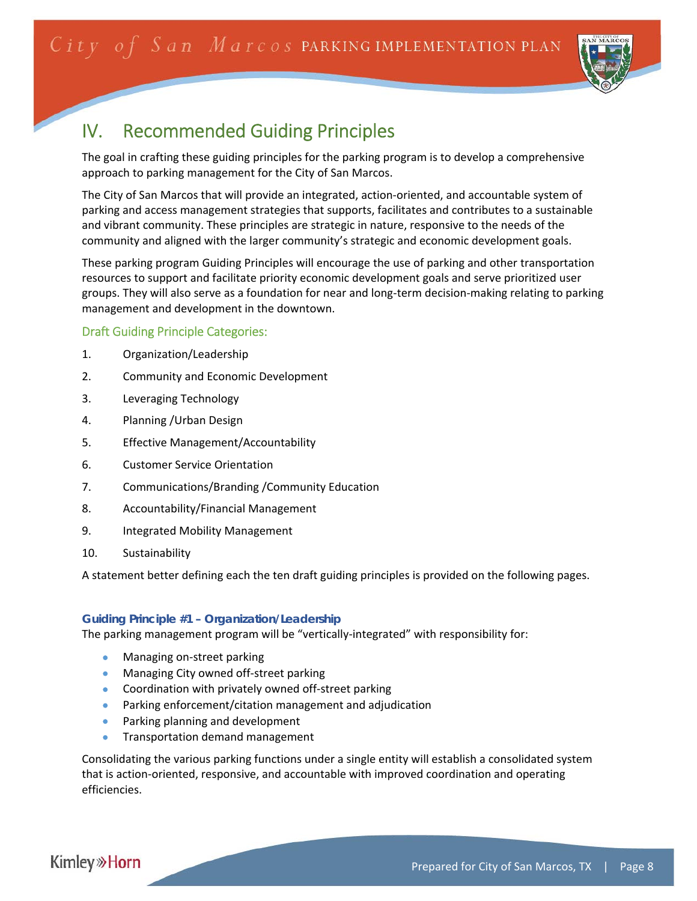

## IV. Recommended Guiding Principles

The goal in crafting these guiding principles for the parking program is to develop a comprehensive approach to parking management for the City of San Marcos.

The City of San Marcos that will provide an integrated, action‐oriented, and accountable system of parking and access management strategies that supports, facilitates and contributes to a sustainable and vibrant community. These principles are strategic in nature, responsive to the needs of the community and aligned with the larger community's strategic and economic development goals.

These parking program Guiding Principles will encourage the use of parking and other transportation resources to support and facilitate priority economic development goals and serve prioritized user groups. They will also serve as a foundation for near and long‐term decision‐making relating to parking management and development in the downtown.

#### Draft Guiding Principle Categories:

- 1. Organization/Leadership
- 2. Community and Economic Development
- 3. Leveraging Technology
- 4. Planning /Urban Design
- 5. Effective Management/Accountability
- 6. Customer Service Orientation
- 7. Communications/Branding /Community Education
- 8. Accountability/Financial Management
- 9. Integrated Mobility Management
- 10. Sustainability

A statement better defining each the ten draft guiding principles is provided on the following pages.

#### *Guiding Principle #1 – Organization/Leadership*

The parking management program will be "vertically‐integrated" with responsibility for:

- Managing on‐street parking
- Managing City owned off-street parking
- Coordination with privately owned off-street parking
- Parking enforcement/citation management and adjudication
- **•** Parking planning and development
- **•** Transportation demand management

Consolidating the various parking functions under a single entity will establish a consolidated system that is action‐oriented, responsive, and accountable with improved coordination and operating efficiencies.

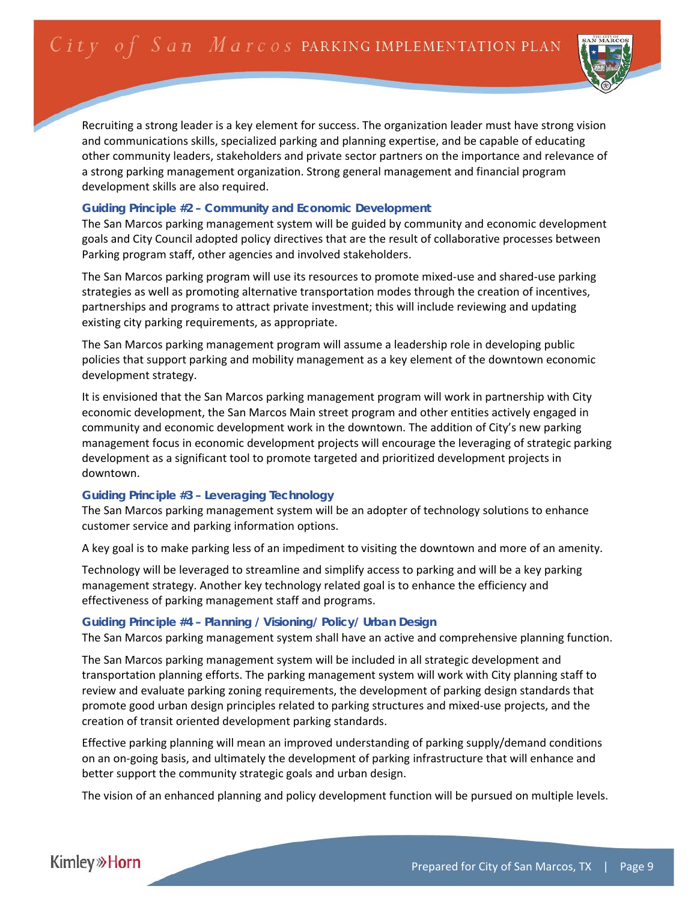

Recruiting a strong leader is a key element for success. The organization leader must have strong vision and communications skills, specialized parking and planning expertise, and be capable of educating other community leaders, stakeholders and private sector partners on the importance and relevance of a strong parking management organization. Strong general management and financial program development skills are also required.

#### *Guiding Principle #2 – Community and Economic Development*

The San Marcos parking management system will be guided by community and economic development goals and City Council adopted policy directives that are the result of collaborative processes between Parking program staff, other agencies and involved stakeholders.

The San Marcos parking program will use its resources to promote mixed‐use and shared‐use parking strategies as well as promoting alternative transportation modes through the creation of incentives, partnerships and programs to attract private investment; this will include reviewing and updating existing city parking requirements, as appropriate.

The San Marcos parking management program will assume a leadership role in developing public policies that support parking and mobility management as a key element of the downtown economic development strategy.

It is envisioned that the San Marcos parking management program will work in partnership with City economic development, the San Marcos Main street program and other entities actively engaged in community and economic development work in the downtown. The addition of City's new parking management focus in economic development projects will encourage the leveraging of strategic parking development as a significant tool to promote targeted and prioritized development projects in downtown.

#### *Guiding Principle #3 – Leveraging Technology*

The San Marcos parking management system will be an adopter of technology solutions to enhance customer service and parking information options.

A key goal is to make parking less of an impediment to visiting the downtown and more of an amenity.

Technology will be leveraged to streamline and simplify access to parking and will be a key parking management strategy. Another key technology related goal is to enhance the efficiency and effectiveness of parking management staff and programs.

#### *Guiding Principle #4 – Planning / Visioning/ Policy/ Urban Design*

The San Marcos parking management system shall have an active and comprehensive planning function.

The San Marcos parking management system will be included in all strategic development and transportation planning efforts. The parking management system will work with City planning staff to review and evaluate parking zoning requirements, the development of parking design standards that promote good urban design principles related to parking structures and mixed‐use projects, and the creation of transit oriented development parking standards.

Effective parking planning will mean an improved understanding of parking supply/demand conditions on an on‐going basis, and ultimately the development of parking infrastructure that will enhance and better support the community strategic goals and urban design.

The vision of an enhanced planning and policy development function will be pursued on multiple levels.

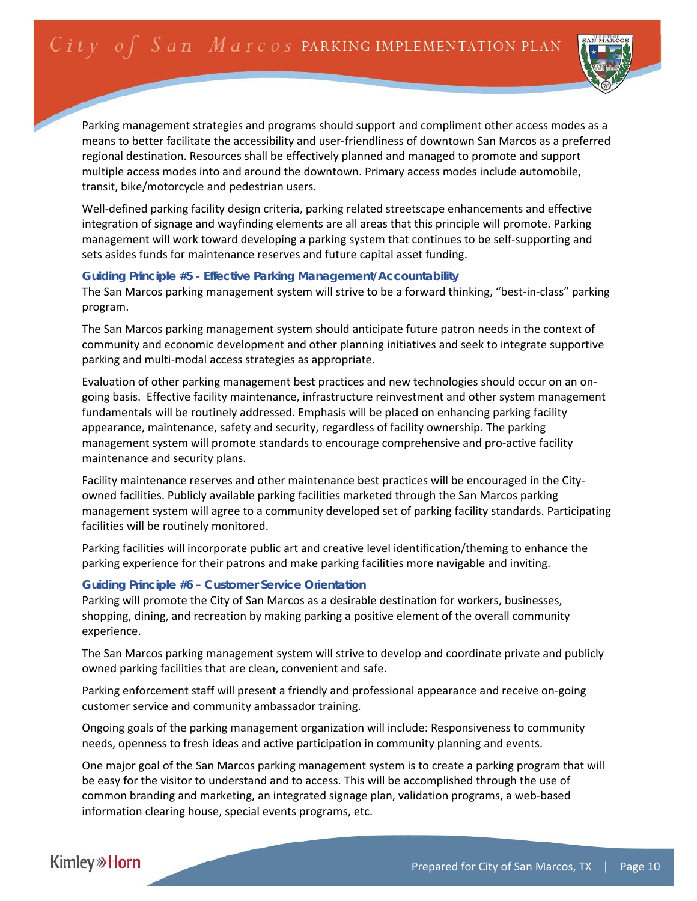

Parking management strategies and programs should support and compliment other access modes as a means to better facilitate the accessibility and user‐friendliness of downtown San Marcos as a preferred regional destination. Resources shall be effectively planned and managed to promote and support multiple access modes into and around the downtown. Primary access modes include automobile, transit, bike/motorcycle and pedestrian users.

Well-defined parking facility design criteria, parking related streetscape enhancements and effective integration of signage and wayfinding elements are all areas that this principle will promote. Parking management will work toward developing a parking system that continues to be self‐supporting and sets asides funds for maintenance reserves and future capital asset funding.

#### *Guiding Principle #5 - Effective Parking Management/Accountability*

The San Marcos parking management system will strive to be a forward thinking, "best‐in‐class" parking program.

The San Marcos parking management system should anticipate future patron needs in the context of community and economic development and other planning initiatives and seek to integrate supportive parking and multi‐modal access strategies as appropriate.

Evaluation of other parking management best practices and new technologies should occur on an on‐ going basis. Effective facility maintenance, infrastructure reinvestment and other system management fundamentals will be routinely addressed. Emphasis will be placed on enhancing parking facility appearance, maintenance, safety and security, regardless of facility ownership. The parking management system will promote standards to encourage comprehensive and pro-active facility maintenance and security plans.

Facility maintenance reserves and other maintenance best practices will be encouraged in the City‐ owned facilities. Publicly available parking facilities marketed through the San Marcos parking management system will agree to a community developed set of parking facility standards. Participating facilities will be routinely monitored.

Parking facilities will incorporate public art and creative level identification/theming to enhance the parking experience for their patrons and make parking facilities more navigable and inviting.

#### *Guiding Principle #6 – Customer Service Orientation*

Parking will promote the City of San Marcos as a desirable destination for workers, businesses, shopping, dining, and recreation by making parking a positive element of the overall community experience.

The San Marcos parking management system will strive to develop and coordinate private and publicly owned parking facilities that are clean, convenient and safe.

Parking enforcement staff will present a friendly and professional appearance and receive on‐going customer service and community ambassador training.

Ongoing goals of the parking management organization will include: Responsiveness to community needs, openness to fresh ideas and active participation in community planning and events.

One major goal of the San Marcos parking management system is to create a parking program that will be easy for the visitor to understand and to access. This will be accomplished through the use of common branding and marketing, an integrated signage plan, validation programs, a web‐based information clearing house, special events programs, etc.

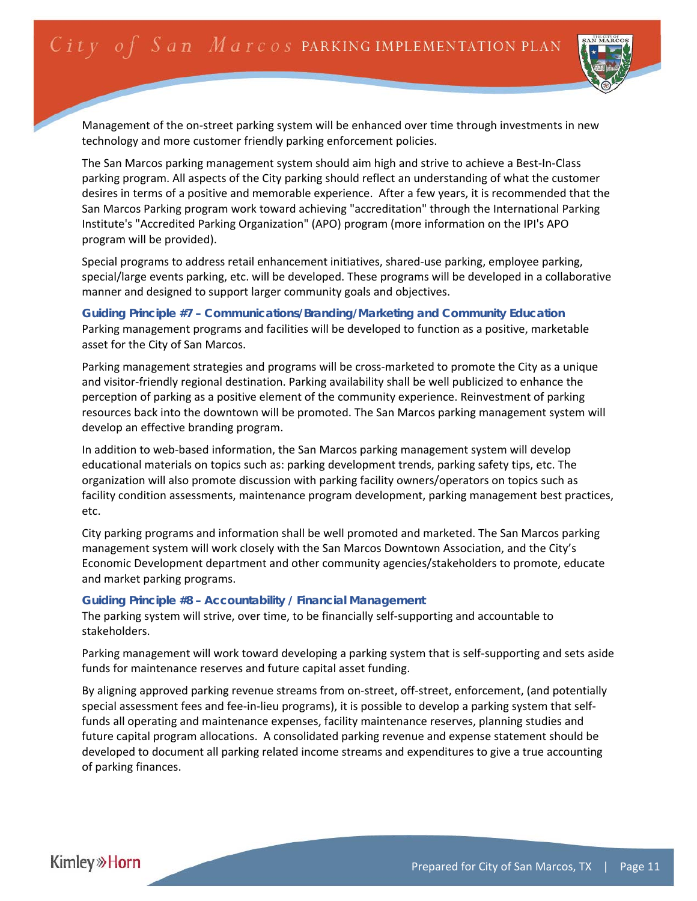

Management of the on‐street parking system will be enhanced over time through investments in new technology and more customer friendly parking enforcement policies.

The San Marcos parking management system should aim high and strive to achieve a Best‐In‐Class parking program. All aspects of the City parking should reflect an understanding of what the customer desires in terms of a positive and memorable experience. After a few years, it is recommended that the San Marcos Parking program work toward achieving "accreditation" through the International Parking Institute's "Accredited Parking Organization" (APO) program (more information on the IPI's APO program will be provided).

Special programs to address retail enhancement initiatives, shared-use parking, employee parking, special/large events parking, etc. will be developed. These programs will be developed in a collaborative manner and designed to support larger community goals and objectives.

*Guiding Principle #7 – Communications/Branding/Marketing and Community Education*  Parking management programs and facilities will be developed to function as a positive, marketable asset for the City of San Marcos.

Parking management strategies and programs will be cross-marketed to promote the City as a unique and visitor‐friendly regional destination. Parking availability shall be well publicized to enhance the perception of parking as a positive element of the community experience. Reinvestment of parking resources back into the downtown will be promoted. The San Marcos parking management system will develop an effective branding program.

In addition to web-based information, the San Marcos parking management system will develop educational materials on topics such as: parking development trends, parking safety tips, etc. The organization will also promote discussion with parking facility owners/operators on topics such as facility condition assessments, maintenance program development, parking management best practices, etc.

City parking programs and information shall be well promoted and marketed. The San Marcos parking management system will work closely with the San Marcos Downtown Association, and the City's Economic Development department and other community agencies/stakeholders to promote, educate and market parking programs.

#### *Guiding Principle #8 – Accountability / Financial Management*

The parking system will strive, over time, to be financially self‐supporting and accountable to stakeholders.

Parking management will work toward developing a parking system that is self‐supporting and sets aside funds for maintenance reserves and future capital asset funding.

By aligning approved parking revenue streams from on-street, off-street, enforcement, (and potentially special assessment fees and fee-in-lieu programs), it is possible to develop a parking system that selffunds all operating and maintenance expenses, facility maintenance reserves, planning studies and future capital program allocations. A consolidated parking revenue and expense statement should be developed to document all parking related income streams and expenditures to give a true accounting of parking finances.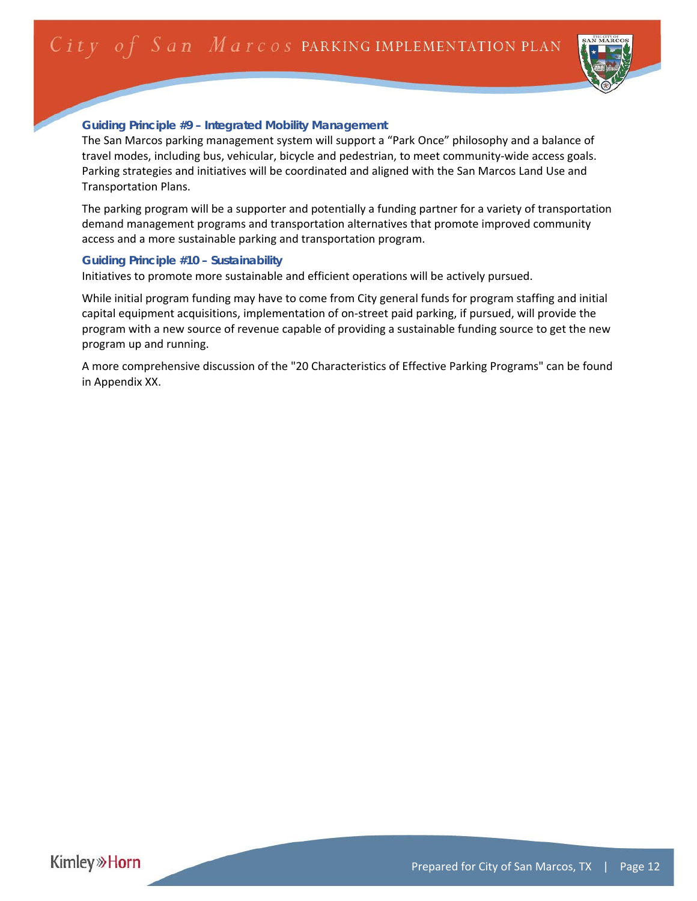

### *Guiding Principle #9 – Integrated Mobility Management*

The San Marcos parking management system will support a "Park Once" philosophy and a balance of travel modes, including bus, vehicular, bicycle and pedestrian, to meet community‐wide access goals. Parking strategies and initiatives will be coordinated and aligned with the San Marcos Land Use and Transportation Plans.

The parking program will be a supporter and potentially a funding partner for a variety of transportation demand management programs and transportation alternatives that promote improved community access and a more sustainable parking and transportation program.

#### *Guiding Principle #10 – Sustainability*

Initiatives to promote more sustainable and efficient operations will be actively pursued.

While initial program funding may have to come from City general funds for program staffing and initial capital equipment acquisitions, implementation of on‐street paid parking, if pursued, will provide the program with a new source of revenue capable of providing a sustainable funding source to get the new program up and running.

A more comprehensive discussion of the "20 Characteristics of Effective Parking Programs" can be found in Appendix XX.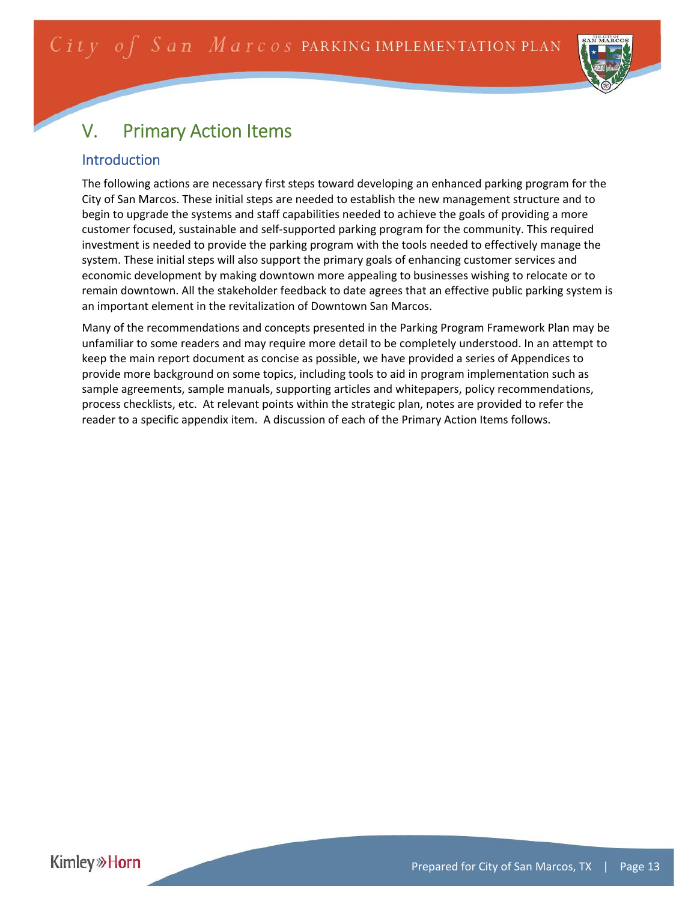

# V. Primary Action Items

## Introduction

The following actions are necessary first steps toward developing an enhanced parking program for the City of San Marcos. These initial steps are needed to establish the new management structure and to begin to upgrade the systems and staff capabilities needed to achieve the goals of providing a more customer focused, sustainable and self‐supported parking program for the community. This required investment is needed to provide the parking program with the tools needed to effectively manage the system. These initial steps will also support the primary goals of enhancing customer services and economic development by making downtown more appealing to businesses wishing to relocate or to remain downtown. All the stakeholder feedback to date agrees that an effective public parking system is an important element in the revitalization of Downtown San Marcos.

Many of the recommendations and concepts presented in the Parking Program Framework Plan may be unfamiliar to some readers and may require more detail to be completely understood. In an attempt to keep the main report document as concise as possible, we have provided a series of Appendices to provide more background on some topics, including tools to aid in program implementation such as sample agreements, sample manuals, supporting articles and whitepapers, policy recommendations, process checklists, etc. At relevant points within the strategic plan, notes are provided to refer the reader to a specific appendix item. A discussion of each of the Primary Action Items follows.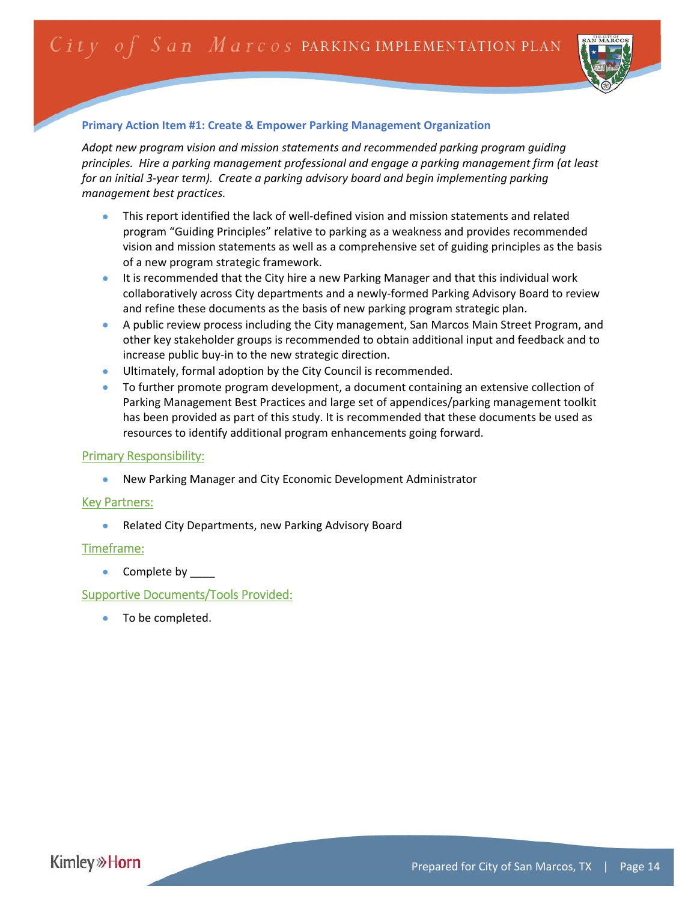

## **Primary Action Item #1: Create & Empower Parking Management Organization**

*Adopt new program vision and mission statements and recommended parking program guiding principles. Hire a parking management professional and engage a parking management firm (at least for an initial 3‐year term). Create a parking advisory board and begin implementing parking management best practices.*

- This report identified the lack of well-defined vision and mission statements and related program "Guiding Principles" relative to parking as a weakness and provides recommended vision and mission statements as well as a comprehensive set of guiding principles as the basis of a new program strategic framework.
- It is recommended that the City hire a new Parking Manager and that this individual work collaboratively across City departments and a newly‐formed Parking Advisory Board to review and refine these documents as the basis of new parking program strategic plan.
- A public review process including the City management, San Marcos Main Street Program, and other key stakeholder groups is recommended to obtain additional input and feedback and to increase public buy‐in to the new strategic direction.
- Ultimately, formal adoption by the City Council is recommended.
- To further promote program development, a document containing an extensive collection of Parking Management Best Practices and large set of appendices/parking management toolkit has been provided as part of this study. It is recommended that these documents be used as resources to identify additional program enhancements going forward.

## Primary Responsibility:

New Parking Manager and City Economic Development Administrator

## Key Partners:

Related City Departments, new Parking Advisory Board

## Timeframe:

• Complete by \_\_\_\_

## Supportive Documents/Tools Provided:

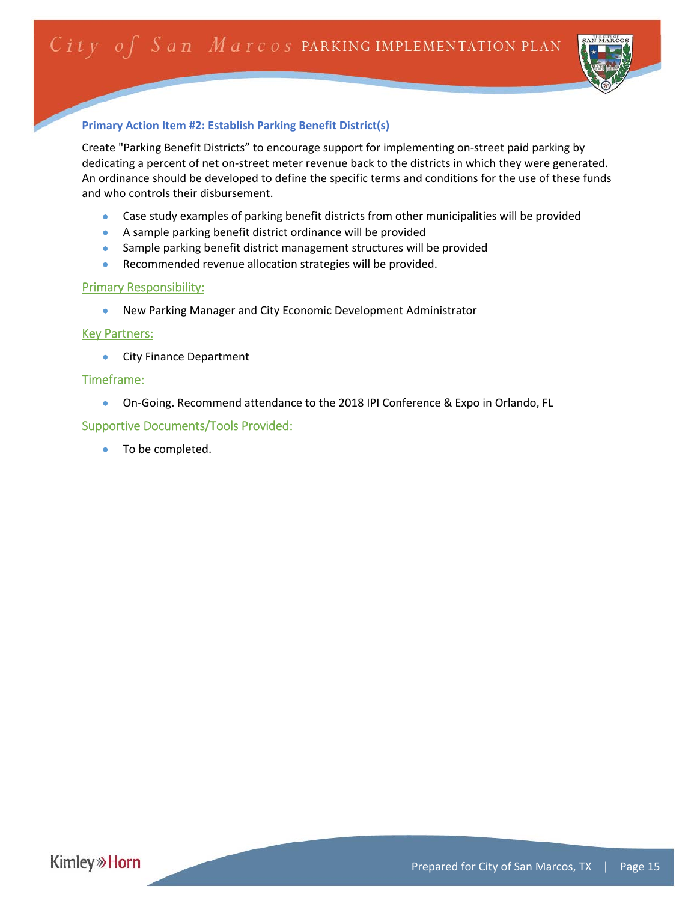

#### **Primary Action Item #2: Establish Parking Benefit District(s)**

Create "Parking Benefit Districts" to encourage support for implementing on‐street paid parking by dedicating a percent of net on‐street meter revenue back to the districts in which they were generated. An ordinance should be developed to define the specific terms and conditions for the use of these funds and who controls their disbursement.

- Case study examples of parking benefit districts from other municipalities will be provided
- A sample parking benefit district ordinance will be provided
- Sample parking benefit district management structures will be provided
- **•** Recommended revenue allocation strategies will be provided.

#### Primary Responsibility:

New Parking Manager and City Economic Development Administrator

#### **Key Partners:**

**City Finance Department** 

#### Timeframe:

● On-Going. Recommend attendance to the 2018 IPI Conference & Expo in Orlando, FL

#### Supportive Documents/Tools Provided: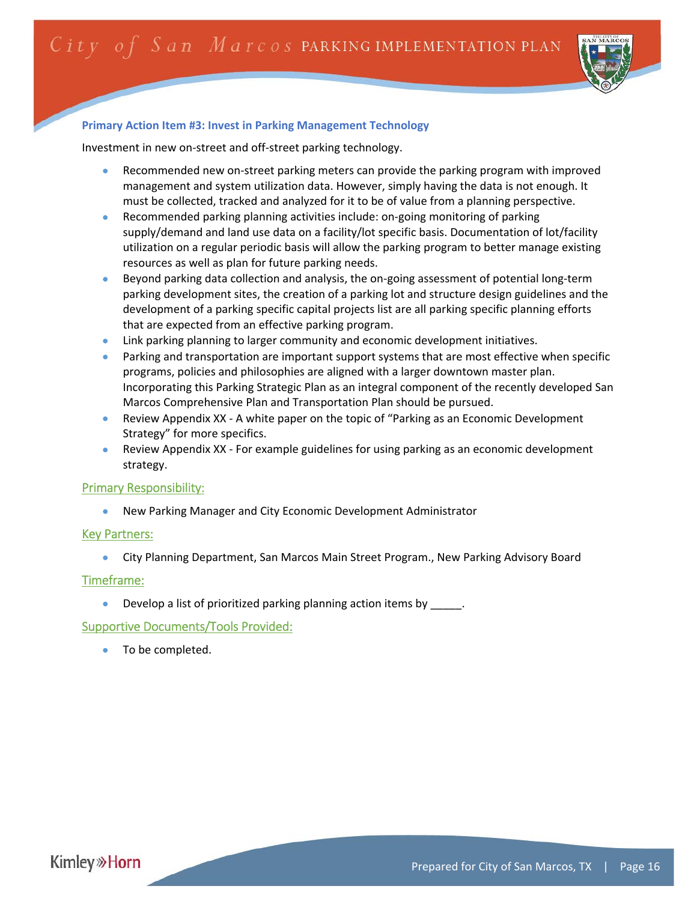

#### **Primary Action Item #3: Invest in Parking Management Technology**

Investment in new on‐street and off‐street parking technology.

- Recommended new on‐street parking meters can provide the parking program with improved management and system utilization data. However, simply having the data is not enough. It must be collected, tracked and analyzed for it to be of value from a planning perspective.
- Recommended parking planning activities include: on-going monitoring of parking supply/demand and land use data on a facility/lot specific basis. Documentation of lot/facility utilization on a regular periodic basis will allow the parking program to better manage existing resources as well as plan for future parking needs.
- Beyond parking data collection and analysis, the on‐going assessment of potential long‐term parking development sites, the creation of a parking lot and structure design guidelines and the development of a parking specific capital projects list are all parking specific planning efforts that are expected from an effective parking program.
- **.** Link parking planning to larger community and economic development initiatives.
- Parking and transportation are important support systems that are most effective when specific programs, policies and philosophies are aligned with a larger downtown master plan. Incorporating this Parking Strategic Plan as an integral component of the recently developed San Marcos Comprehensive Plan and Transportation Plan should be pursued.
- Review Appendix XX ‐ A white paper on the topic of "Parking as an Economic Development Strategy" for more specifics.
- Review Appendix XX ‐ For example guidelines for using parking as an economic development strategy.

#### Primary Responsibility:

New Parking Manager and City Economic Development Administrator

#### Key Partners:

City Planning Department, San Marcos Main Street Program., New Parking Advisory Board

#### Timeframe:

Develop a list of prioritized parking planning action items by  $\qquad \qquad$ .

#### Supportive Documents/Tools Provided:

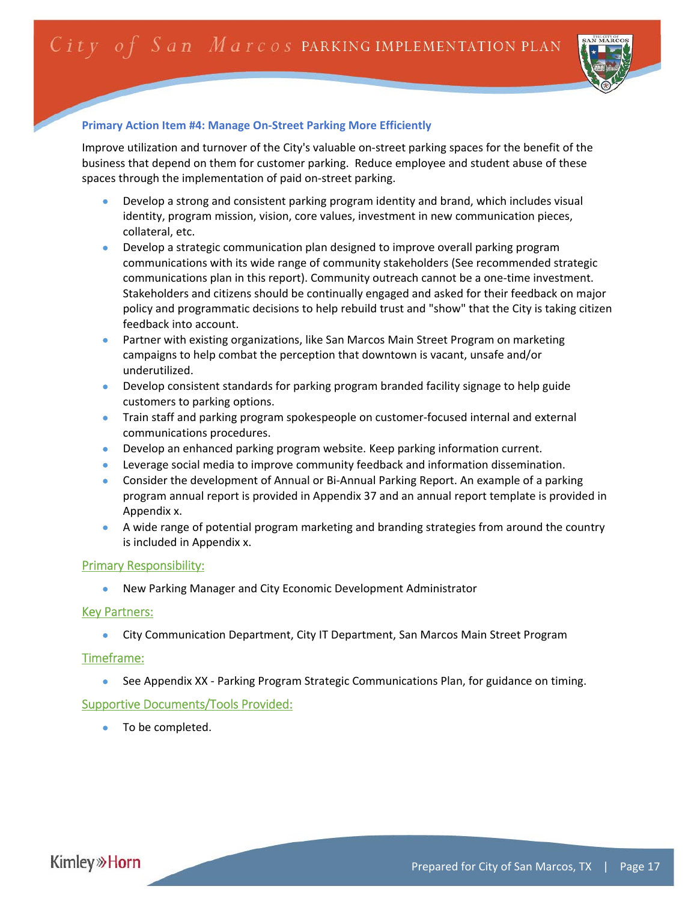

#### **Primary Action Item #4: Manage On‐Street Parking More Efficiently**

Improve utilization and turnover of the City's valuable on‐street parking spaces for the benefit of the business that depend on them for customer parking. Reduce employee and student abuse of these spaces through the implementation of paid on‐street parking.

- Develop a strong and consistent parking program identity and brand, which includes visual identity, program mission, vision, core values, investment in new communication pieces, collateral, etc.
- Develop a strategic communication plan designed to improve overall parking program communications with its wide range of community stakeholders (See recommended strategic communications plan in this report). Community outreach cannot be a one‐time investment. Stakeholders and citizens should be continually engaged and asked for their feedback on major policy and programmatic decisions to help rebuild trust and "show" that the City is taking citizen feedback into account.
- Partner with existing organizations, like San Marcos Main Street Program on marketing campaigns to help combat the perception that downtown is vacant, unsafe and/or underutilized.
- Develop consistent standards for parking program branded facility signage to help guide customers to parking options.
- Train staff and parking program spokespeople on customer-focused internal and external communications procedures.
- Develop an enhanced parking program website. Keep parking information current.
- Leverage social media to improve community feedback and information dissemination.
- Consider the development of Annual or Bi-Annual Parking Report. An example of a parking program annual report is provided in Appendix 37 and an annual report template is provided in Appendix x.
- A wide range of potential program marketing and branding strategies from around the country is included in Appendix x.

#### Primary Responsibility:

New Parking Manager and City Economic Development Administrator

#### Key Partners:

City Communication Department, City IT Department, San Marcos Main Street Program

#### Timeframe:

See Appendix XX ‐ Parking Program Strategic Communications Plan, for guidance on timing.

#### Supportive Documents/Tools Provided:

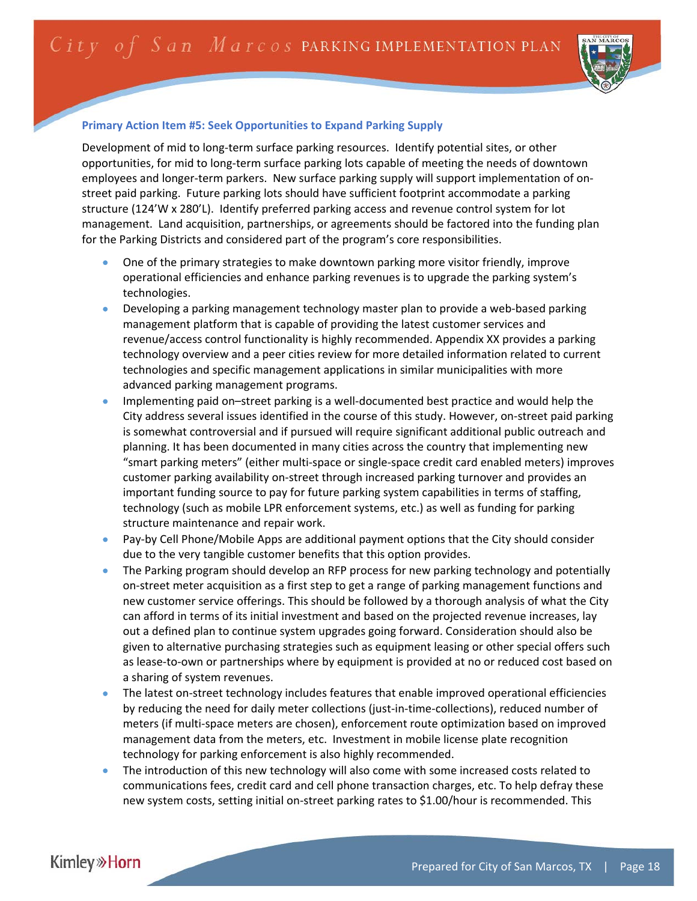

## **Primary Action Item #5: Seek Opportunities to Expand Parking Supply**

Development of mid to long-term surface parking resources. Identify potential sites, or other opportunities, for mid to long‐term surface parking lots capable of meeting the needs of downtown employees and longer-term parkers. New surface parking supply will support implementation of onstreet paid parking. Future parking lots should have sufficient footprint accommodate a parking structure (124'W x 280'L). Identify preferred parking access and revenue control system for lot management. Land acquisition, partnerships, or agreements should be factored into the funding plan for the Parking Districts and considered part of the program's core responsibilities.

- One of the primary strategies to make downtown parking more visitor friendly, improve operational efficiencies and enhance parking revenues is to upgrade the parking system's technologies.
- Developing a parking management technology master plan to provide a web‐based parking management platform that is capable of providing the latest customer services and revenue/access control functionality is highly recommended. Appendix XX provides a parking technology overview and a peer cities review for more detailed information related to current technologies and specific management applications in similar municipalities with more advanced parking management programs.
- Implementing paid on–street parking is a well‐documented best practice and would help the City address several issues identified in the course of this study. However, on‐street paid parking is somewhat controversial and if pursued will require significant additional public outreach and planning. It has been documented in many cities across the country that implementing new "smart parking meters" (either multi‐space or single‐space credit card enabled meters) improves customer parking availability on‐street through increased parking turnover and provides an important funding source to pay for future parking system capabilities in terms of staffing, technology (such as mobile LPR enforcement systems, etc.) as well as funding for parking structure maintenance and repair work.
- Pay-by Cell Phone/Mobile Apps are additional payment options that the City should consider due to the very tangible customer benefits that this option provides.
- The Parking program should develop an RFP process for new parking technology and potentially on‐street meter acquisition as a first step to get a range of parking management functions and new customer service offerings. This should be followed by a thorough analysis of what the City can afford in terms of its initial investment and based on the projected revenue increases, lay out a defined plan to continue system upgrades going forward. Consideration should also be given to alternative purchasing strategies such as equipment leasing or other special offers such as lease‐to‐own or partnerships where by equipment is provided at no or reduced cost based on a sharing of system revenues.
- The latest on‐street technology includes features that enable improved operational efficiencies by reducing the need for daily meter collections (just-in-time-collections), reduced number of meters (if multi‐space meters are chosen), enforcement route optimization based on improved management data from the meters, etc. Investment in mobile license plate recognition technology for parking enforcement is also highly recommended.
- The introduction of this new technology will also come with some increased costs related to communications fees, credit card and cell phone transaction charges, etc. To help defray these new system costs, setting initial on-street parking rates to \$1.00/hour is recommended. This

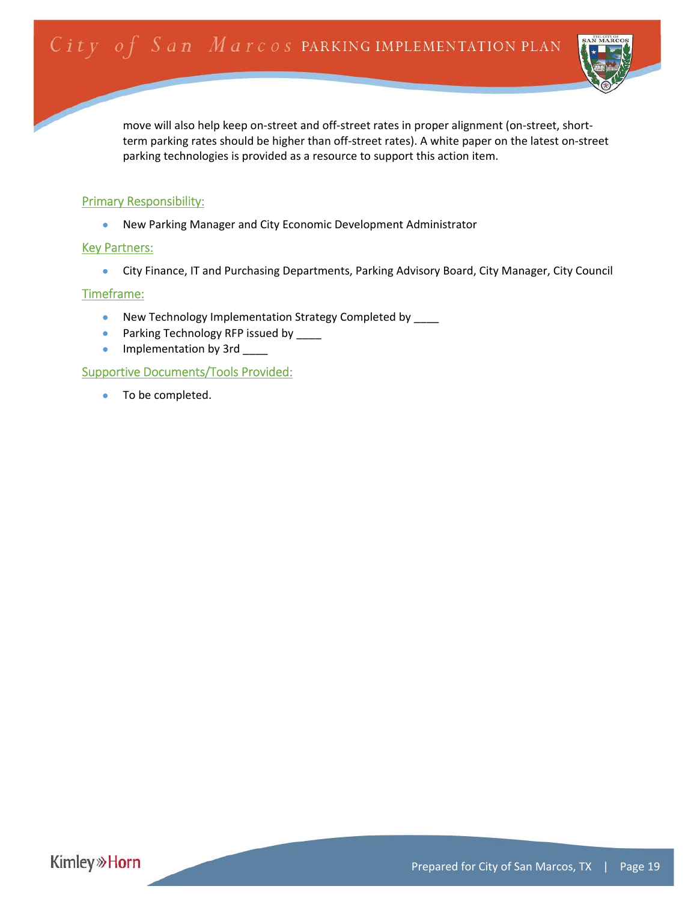

move will also help keep on-street and off-street rates in proper alignment (on-street, shortterm parking rates should be higher than off‐street rates). A white paper on the latest on‐street parking technologies is provided as a resource to support this action item.

#### Primary Responsibility:

New Parking Manager and City Economic Development Administrator

#### Key Partners:

City Finance, IT and Purchasing Departments, Parking Advisory Board, City Manager, City Council

#### Timeframe:

- New Technology Implementation Strategy Completed by \_\_\_\_
- Parking Technology RFP issued by \_\_\_\_
- Implementation by 3rd \_

## Supportive Documents/Tools Provided:

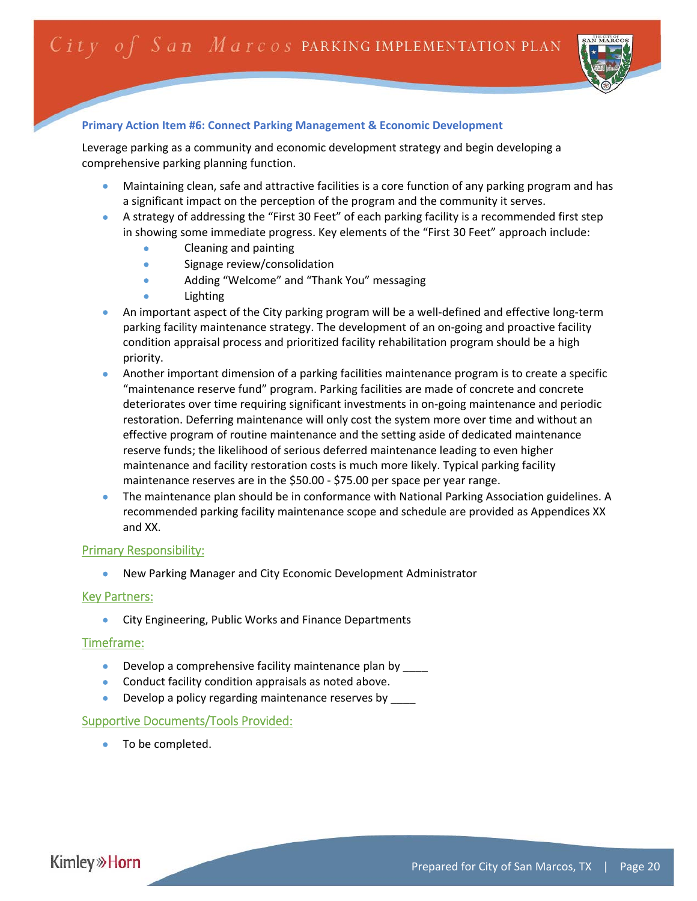

#### **Primary Action Item #6: Connect Parking Management & Economic Development**

Leverage parking as a community and economic development strategy and begin developing a comprehensive parking planning function.

- Maintaining clean, safe and attractive facilities is a core function of any parking program and has a significant impact on the perception of the program and the community it serves.
- A strategy of addressing the "First 30 Feet" of each parking facility is a recommended first step in showing some immediate progress. Key elements of the "First 30 Feet" approach include:
	- Cleaning and painting
	- Signage review/consolidation
	- Adding "Welcome" and "Thank You" messaging
	- Lighting
- An important aspect of the City parking program will be a well‐defined and effective long‐term parking facility maintenance strategy. The development of an on‐going and proactive facility condition appraisal process and prioritized facility rehabilitation program should be a high priority.
- Another important dimension of a parking facilities maintenance program is to create a specific "maintenance reserve fund" program. Parking facilities are made of concrete and concrete deteriorates over time requiring significant investments in on‐going maintenance and periodic restoration. Deferring maintenance will only cost the system more over time and without an effective program of routine maintenance and the setting aside of dedicated maintenance reserve funds; the likelihood of serious deferred maintenance leading to even higher maintenance and facility restoration costs is much more likely. Typical parking facility maintenance reserves are in the \$50.00 ‐ \$75.00 per space per year range.
- The maintenance plan should be in conformance with National Parking Association guidelines. A recommended parking facility maintenance scope and schedule are provided as Appendices XX and XX.

#### Primary Responsibility:

New Parking Manager and City Economic Development Administrator

#### Key Partners:

**City Engineering, Public Works and Finance Departments** 

#### Timeframe:

- Develop a comprehensive facility maintenance plan by \_\_\_\_
- **•** Conduct facility condition appraisals as noted above.
- Develop a policy regarding maintenance reserves by \_\_\_\_

#### Supportive Documents/Tools Provided:

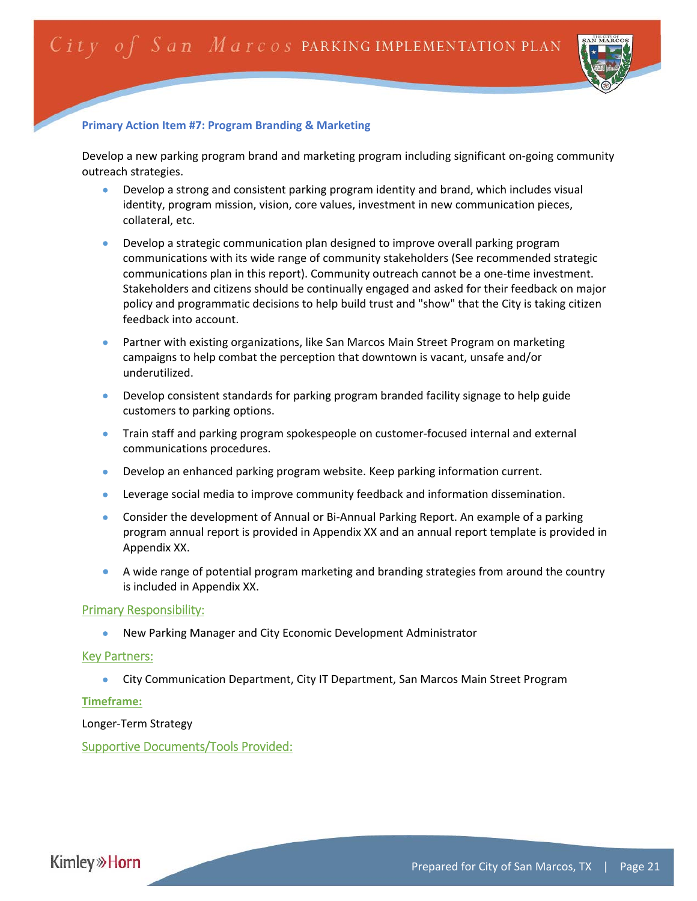

#### **Primary Action Item #7: Program Branding & Marketing**

Develop a new parking program brand and marketing program including significant on‐going community outreach strategies.

- Develop a strong and consistent parking program identity and brand, which includes visual identity, program mission, vision, core values, investment in new communication pieces, collateral, etc.
- Develop a strategic communication plan designed to improve overall parking program communications with its wide range of community stakeholders (See recommended strategic communications plan in this report). Community outreach cannot be a one‐time investment. Stakeholders and citizens should be continually engaged and asked for their feedback on major policy and programmatic decisions to help build trust and "show" that the City is taking citizen feedback into account.
- Partner with existing organizations, like San Marcos Main Street Program on marketing campaigns to help combat the perception that downtown is vacant, unsafe and/or underutilized.
- Develop consistent standards for parking program branded facility signage to help guide customers to parking options.
- Train staff and parking program spokespeople on customer-focused internal and external communications procedures.
- Develop an enhanced parking program website. Keep parking information current.
- Leverage social media to improve community feedback and information dissemination.
- Consider the development of Annual or Bi-Annual Parking Report. An example of a parking program annual report is provided in Appendix XX and an annual report template is provided in Appendix XX.
- A wide range of potential program marketing and branding strategies from around the country is included in Appendix XX.

#### Primary Responsibility:

New Parking Manager and City Economic Development Administrator

#### Key Partners:

City Communication Department, City IT Department, San Marcos Main Street Program

#### **Timeframe:**

Longer‐Term Strategy

Supportive Documents/Tools Provided:

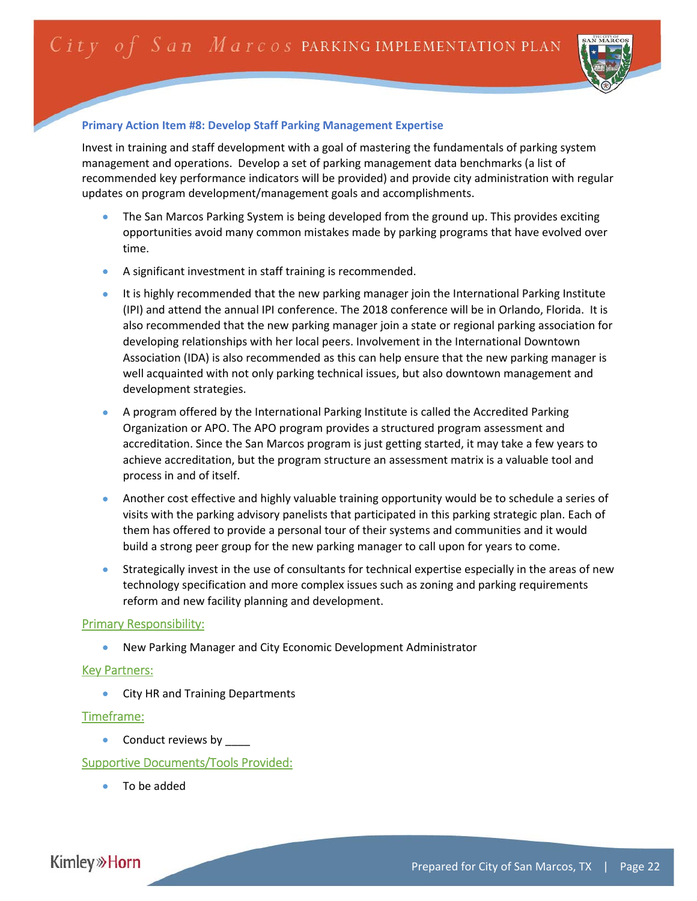

## **Primary Action Item #8: Develop Staff Parking Management Expertise**

Invest in training and staff development with a goal of mastering the fundamentals of parking system management and operations. Develop a set of parking management data benchmarks (a list of recommended key performance indicators will be provided) and provide city administration with regular updates on program development/management goals and accomplishments.

- The San Marcos Parking System is being developed from the ground up. This provides exciting opportunities avoid many common mistakes made by parking programs that have evolved over time.
- A significant investment in staff training is recommended.
- It is highly recommended that the new parking manager join the International Parking Institute (IPI) and attend the annual IPI conference. The 2018 conference will be in Orlando, Florida. It is also recommended that the new parking manager join a state or regional parking association for developing relationships with her local peers. Involvement in the International Downtown Association (IDA) is also recommended as this can help ensure that the new parking manager is well acquainted with not only parking technical issues, but also downtown management and development strategies.
- A program offered by the International Parking Institute is called the Accredited Parking Organization or APO. The APO program provides a structured program assessment and accreditation. Since the San Marcos program is just getting started, it may take a few years to achieve accreditation, but the program structure an assessment matrix is a valuable tool and process in and of itself.
- Another cost effective and highly valuable training opportunity would be to schedule a series of visits with the parking advisory panelists that participated in this parking strategic plan. Each of them has offered to provide a personal tour of their systems and communities and it would build a strong peer group for the new parking manager to call upon for years to come.
- Strategically invest in the use of consultants for technical expertise especially in the areas of new technology specification and more complex issues such as zoning and parking requirements reform and new facility planning and development.

## Primary Responsibility:

New Parking Manager and City Economic Development Administrator

## Key Partners:

• City HR and Training Departments

## Timeframe:

• Conduct reviews by \_\_\_\_

## Supportive Documents/Tools Provided:

To be added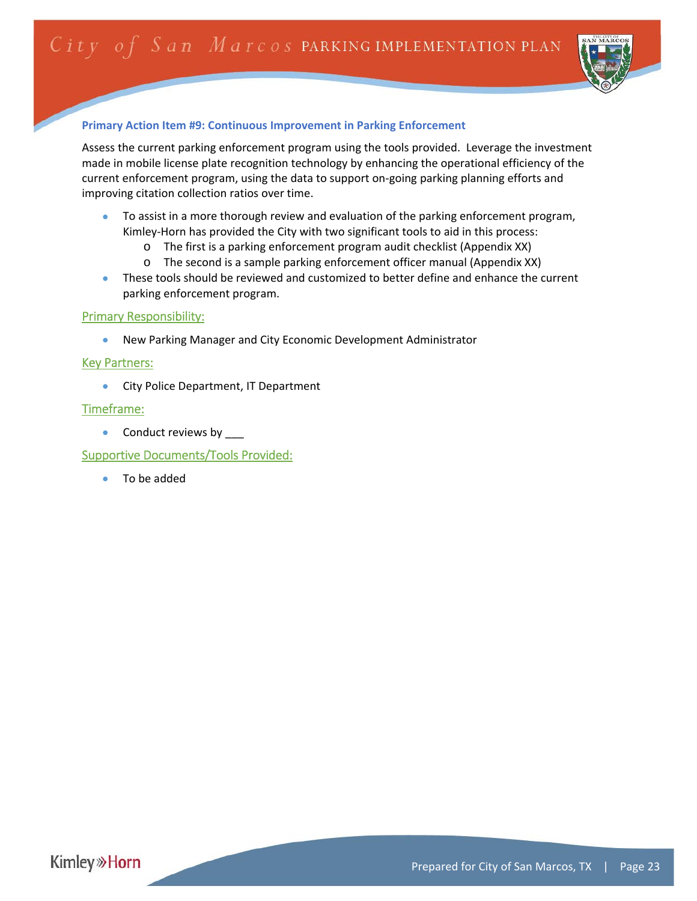

## **Primary Action Item #9: Continuous Improvement in Parking Enforcement**

Assess the current parking enforcement program using the tools provided. Leverage the investment made in mobile license plate recognition technology by enhancing the operational efficiency of the current enforcement program, using the data to support on‐going parking planning efforts and improving citation collection ratios over time.

- To assist in a more thorough review and evaluation of the parking enforcement program, Kimley-Horn has provided the City with two significant tools to aid in this process:
	- o The first is a parking enforcement program audit checklist (Appendix XX)
	- o The second is a sample parking enforcement officer manual (Appendix XX)
- These tools should be reviewed and customized to better define and enhance the current parking enforcement program.

## Primary Responsibility:

New Parking Manager and City Economic Development Administrator

## Key Partners:

**City Police Department, IT Department** 

## Timeframe:

• Conduct reviews by

Supportive Documents/Tools Provided:

To be added

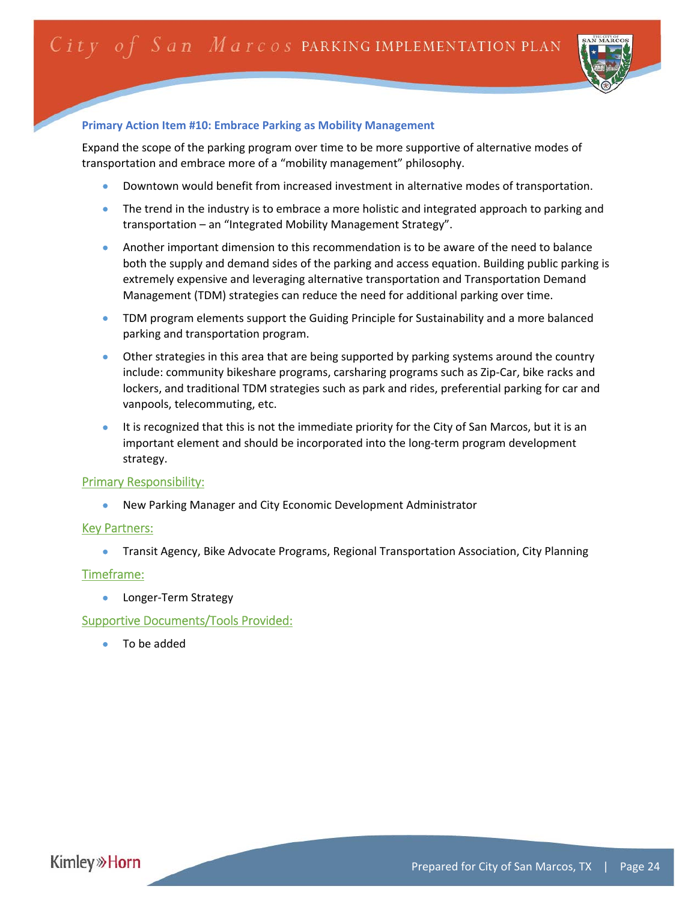

#### **Primary Action Item #10: Embrace Parking as Mobility Management**

Expand the scope of the parking program over time to be more supportive of alternative modes of transportation and embrace more of a "mobility management" philosophy.

- Downtown would benefit from increased investment in alternative modes of transportation.
- The trend in the industry is to embrace a more holistic and integrated approach to parking and transportation – an "Integrated Mobility Management Strategy".
- Another important dimension to this recommendation is to be aware of the need to balance both the supply and demand sides of the parking and access equation. Building public parking is extremely expensive and leveraging alternative transportation and Transportation Demand Management (TDM) strategies can reduce the need for additional parking over time.
- **TDM program elements support the Guiding Principle for Sustainability and a more balanced** parking and transportation program.
- Other strategies in this area that are being supported by parking systems around the country include: community bikeshare programs, carsharing programs such as Zip‐Car, bike racks and lockers, and traditional TDM strategies such as park and rides, preferential parking for car and vanpools, telecommuting, etc.
- It is recognized that this is not the immediate priority for the City of San Marcos, but it is an important element and should be incorporated into the long-term program development strategy.

#### Primary Responsibility:

New Parking Manager and City Economic Development Administrator

#### Key Partners:

Transit Agency, Bike Advocate Programs, Regional Transportation Association, City Planning

#### Timeframe:

● Longer-Term Strategy

### Supportive Documents/Tools Provided:

To be added

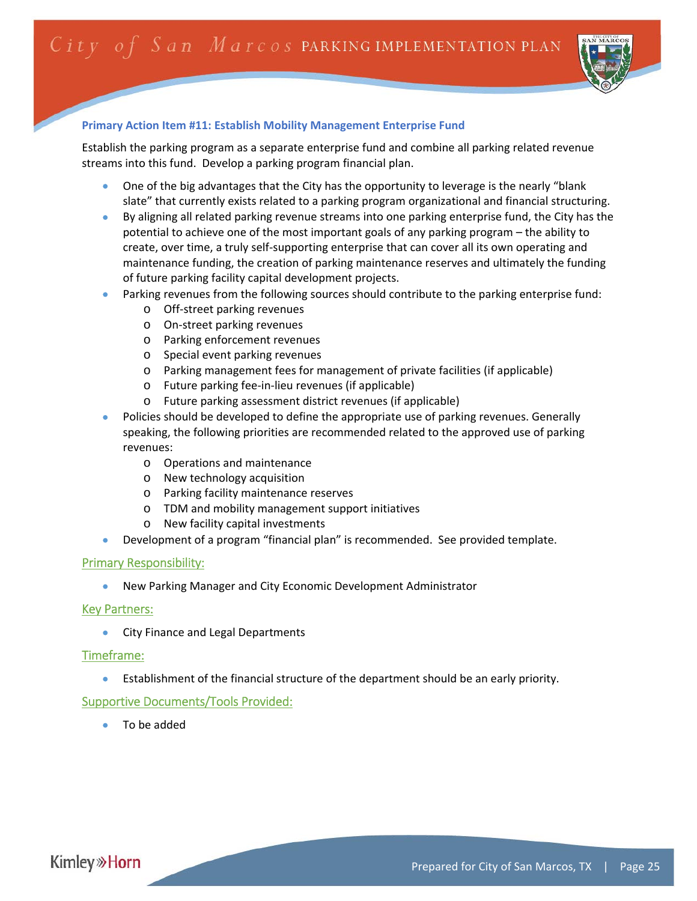

## **Primary Action Item #11: Establish Mobility Management Enterprise Fund**

Establish the parking program as a separate enterprise fund and combine all parking related revenue streams into this fund. Develop a parking program financial plan.

- One of the big advantages that the City has the opportunity to leverage is the nearly "blank slate" that currently exists related to a parking program organizational and financial structuring.
- By aligning all related parking revenue streams into one parking enterprise fund, the City has the potential to achieve one of the most important goals of any parking program – the ability to create, over time, a truly self‐supporting enterprise that can cover all its own operating and maintenance funding, the creation of parking maintenance reserves and ultimately the funding of future parking facility capital development projects.
- Parking revenues from the following sources should contribute to the parking enterprise fund:
	- o Off‐street parking revenues
	- o On‐street parking revenues
	- o Parking enforcement revenues
	- o Special event parking revenues
	- o Parking management fees for management of private facilities (if applicable)
	- o Future parking fee‐in‐lieu revenues (if applicable)
	- o Future parking assessment district revenues (if applicable)
- Policies should be developed to define the appropriate use of parking revenues. Generally speaking, the following priorities are recommended related to the approved use of parking revenues:
	- o Operations and maintenance
	- o New technology acquisition
	- o Parking facility maintenance reserves
	- o TDM and mobility management support initiatives
	- o New facility capital investments
- Development of a program "financial plan" is recommended. See provided template.

## Primary Responsibility:

New Parking Manager and City Economic Development Administrator

## Key Partners:

**City Finance and Legal Departments** 

## Timeframe:

Establishment of the financial structure of the department should be an early priority.

## Supportive Documents/Tools Provided:

To be added

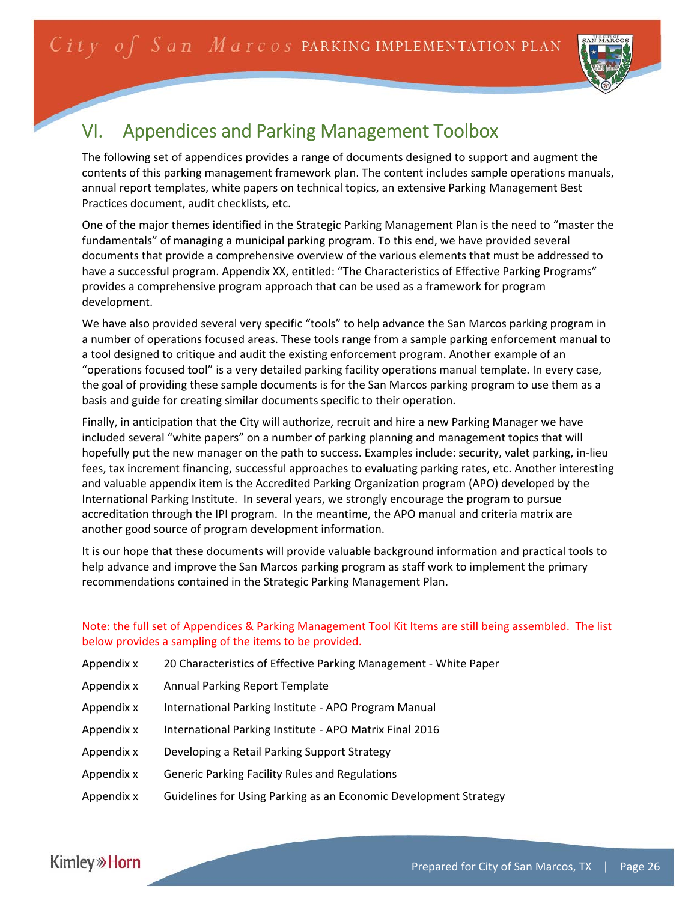

# VI. Appendices and Parking Management Toolbox

The following set of appendices provides a range of documents designed to support and augment the contents of this parking management framework plan. The content includes sample operations manuals, annual report templates, white papers on technical topics, an extensive Parking Management Best Practices document, audit checklists, etc.

One of the major themes identified in the Strategic Parking Management Plan is the need to "master the fundamentals" of managing a municipal parking program. To this end, we have provided several documents that provide a comprehensive overview of the various elements that must be addressed to have a successful program. Appendix XX, entitled: "The Characteristics of Effective Parking Programs" provides a comprehensive program approach that can be used as a framework for program development.

We have also provided several very specific "tools" to help advance the San Marcos parking program in a number of operations focused areas. These tools range from a sample parking enforcement manual to a tool designed to critique and audit the existing enforcement program. Another example of an "operations focused tool" is a very detailed parking facility operations manual template. In every case, the goal of providing these sample documents is for the San Marcos parking program to use them as a basis and guide for creating similar documents specific to their operation.

Finally, in anticipation that the City will authorize, recruit and hire a new Parking Manager we have included several "white papers" on a number of parking planning and management topics that will hopefully put the new manager on the path to success. Examples include: security, valet parking, in‐lieu fees, tax increment financing, successful approaches to evaluating parking rates, etc. Another interesting and valuable appendix item is the Accredited Parking Organization program (APO) developed by the International Parking Institute. In several years, we strongly encourage the program to pursue accreditation through the IPI program. In the meantime, the APO manual and criteria matrix are another good source of program development information.

It is our hope that these documents will provide valuable background information and practical tools to help advance and improve the San Marcos parking program as staff work to implement the primary recommendations contained in the Strategic Parking Management Plan.

## Note: the full set of Appendices & Parking Management Tool Kit Items are still being assembled. The list below provides a sampling of the items to be provided.

- Appendix x 20 Characteristics of Effective Parking Management ‐ White Paper
- Appendix x Annual Parking Report Template
- Appendix x International Parking Institute ‐ APO Program Manual
- Appendix x International Parking Institute ‐ APO Matrix Final 2016
- Appendix x Developing a Retail Parking Support Strategy
- Appendix x Generic Parking Facility Rules and Regulations
- Appendix x Guidelines for Using Parking as an Economic Development Strategy